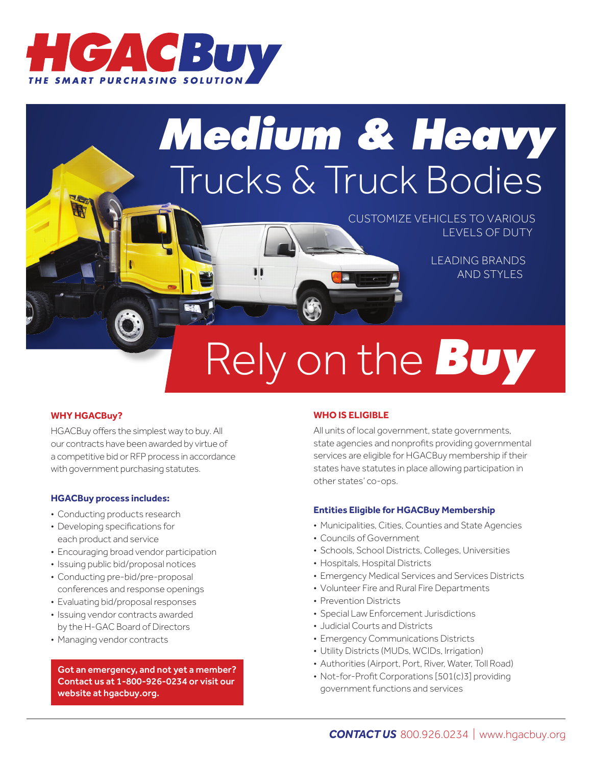

## *Medium & Heavy* Trucks & Truck Bodies

CUSTOMIZE VEHICLES TO VARIOUS LEVELS OF DUTY

> LEADING BRANDS AND STYLES

# Rely on the *Buy*

### **WHY HGACBuy?**

HGACBuy offers the simplest way to buy. All our contracts have been awarded by virtue of a competitive bid or RFP process in accordance with government purchasing statutes.

#### **HGACBuy process includes:**

- Conducting products research
- Developing specifications for each product and service
- Encouraging broad vendor participation
- Issuing public bid/proposal notices
- Conducting pre-bid/pre-proposal conferences and response openings
- Evaluating bid/proposal responses
- Issuing vendor contracts awarded by the H-GAC Board of Directors
- Managing vendor contracts

Got an emergency, and not yet a member? Contact us at 1-800-926-0234 or visit our website at hgacbuy.org.

### **WHO IS ELIGIBLE**

All units of local government, state governments, state agencies and nonprofits providing governmental services are eligible for HGACBuy membership if their states have statutes in place allowing participation in other states' co-ops.

#### **Entities Eligible for HGACBuy Membership**

- Municipalities, Cities, Counties and State Agencies
- Councils of Government
- Schools, School Districts, Colleges, Universities
- Hospitals, Hospital Districts
- Emergency Medical Services and Services Districts
- Volunteer Fire and Rural Fire Departments
- Prevention Districts
- Special Law Enforcement Jurisdictions
- Judicial Courts and Districts
- Emergency Communications Districts
- Utility Districts (MUDs, WCIDs, Irrigation)
- Authorities (Airport, Port, River, Water, Toll Road)
- Not-for-Profit Corporations [501(c)3] providing government functions and services